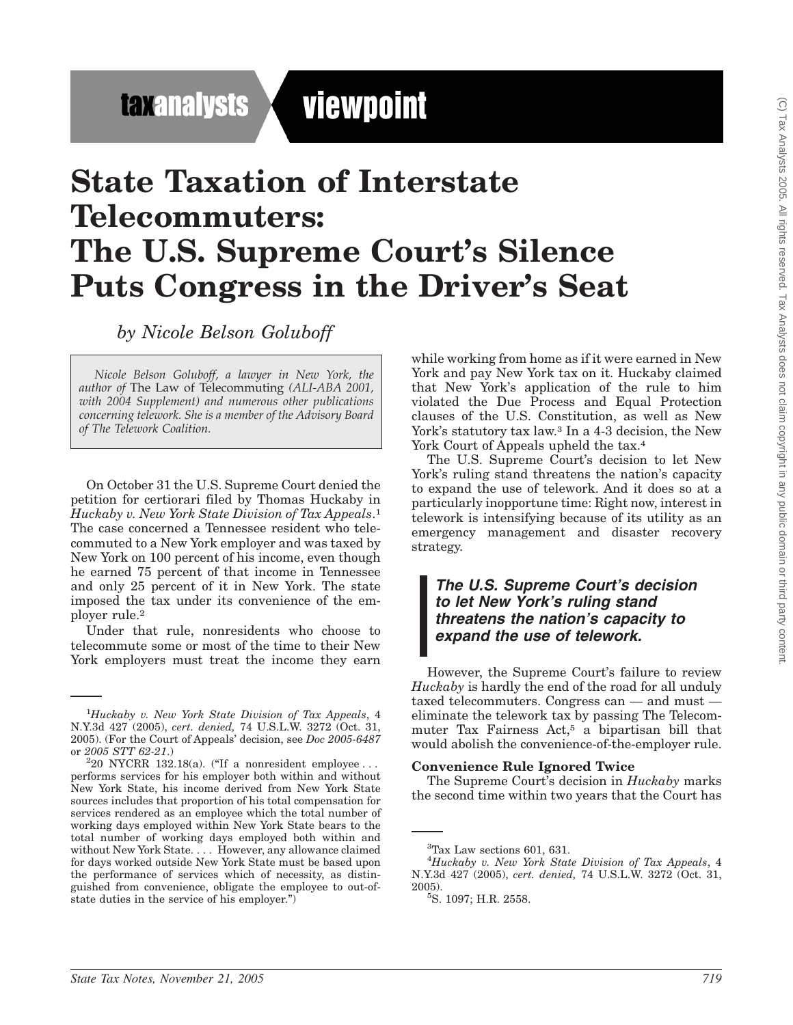**taxanalysts** 

viewpoint

# **State Taxation of Interstate Telecommuters: The U.S. Supreme Court's Silence Puts Congress in the Driver's Seat**

*by Nicole Belson Goluboff*

*Nicole Belson Goluboff, a lawyer in New York, the author of* The Law of Telecommuting *(ALI-ABA 2001, with 2004 Supplement) and numerous other publications concerning telework. She is a member of the Advisory Board of The Telework Coalition.*

On October 31 the U.S. Supreme Court denied the petition for certiorari filed by Thomas Huckaby in *Huckaby v. New York State Division of Tax Appeals*.1 The case concerned a Tennessee resident who telecommuted to a New York employer and was taxed by New York on 100 percent of his income, even though he earned 75 percent of that income in Tennessee and only 25 percent of it in New York. The state imposed the tax under its convenience of the employer rule.2

Under that rule, nonresidents who choose to telecommute some or most of the time to their New York employers must treat the income they earn

while working from home as if it were earned in New York and pay New York tax on it. Huckaby claimed that New York's application of the rule to him violated the Due Process and Equal Protection clauses of the U.S. Constitution, as well as New York's statutory tax law.<sup>3</sup> In a 4-3 decision, the New York Court of Appeals upheld the tax.<sup>4</sup>

The U.S. Supreme Court's decision to let New York's ruling stand threatens the nation's capacity to expand the use of telework. And it does so at a particularly inopportune time: Right now, interest in telework is intensifying because of its utility as an emergency management and disaster recovery strategy.

### *The U.S. Supreme Court's decision to let New York's ruling stand threatens the nation's capacity to expand the use of telework.*

However, the Supreme Court's failure to review *Huckaby* is hardly the end of the road for all unduly taxed telecommuters. Congress can — and must eliminate the telework tax by passing The Telecommuter Tax Fairness Act,5 a bipartisan bill that would abolish the convenience-of-the-employer rule.

#### **Convenience Rule Ignored Twice**

The Supreme Court's decision in *Huckaby* marks the second time within two years that the Court has

<sup>1</sup> *Huckaby v. New York State Division of Tax Appeals*, 4 N.Y.3d 427 (2005), *cert. denied,* 74 U.S.L.W. 3272 (Oct. 31, 2005). (For the Court of Appeals' decision, see *Doc 2005-6487* or *2005 STT 62-21*.) <sup>2</sup>

 $^220\,$  NYCRR 132.18(a). ("If a nonresident employee  $\ldots$ performs services for his employer both within and without New York State, his income derived from New York State sources includes that proportion of his total compensation for services rendered as an employee which the total number of working days employed within New York State bears to the total number of working days employed both within and without New York State.... However, any allowance claimed for days worked outside New York State must be based upon the performance of services which of necessity, as distinguished from convenience, obligate the employee to out-ofstate duties in the service of his employer.'')

<sup>3</sup> Tax Law sections 601, 631.

<sup>4</sup> *Huckaby v. New York State Division of Tax Appeals*, 4 N.Y.3d 427 (2005), *cert. denied,* 74 U.S.L.W. 3272 (Oct. 31,  $2005$ ).

S. 1097; H.R. 2558.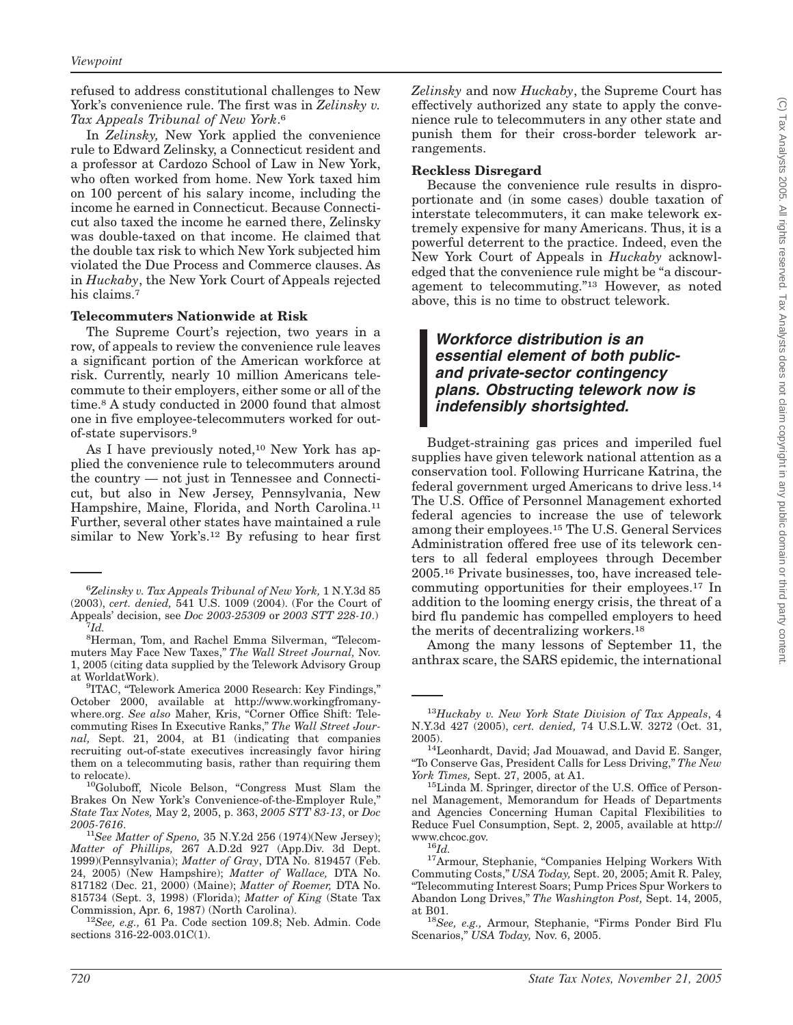refused to address constitutional challenges to New York's convenience rule. The first was in *Zelinsky v. Tax Appeals Tribunal of New York*.6

In *Zelinsky,* New York applied the convenience rule to Edward Zelinsky, a Connecticut resident and a professor at Cardozo School of Law in New York, who often worked from home. New York taxed him on 100 percent of his salary income, including the income he earned in Connecticut. Because Connecticut also taxed the income he earned there, Zelinsky was double-taxed on that income. He claimed that the double tax risk to which New York subjected him violated the Due Process and Commerce clauses. As in *Huckaby*, the New York Court of Appeals rejected his claims.<sup>7</sup>

#### **Telecommuters Nationwide at Risk**

The Supreme Court's rejection, two years in a row, of appeals to review the convenience rule leaves a significant portion of the American workforce at risk. Currently, nearly 10 million Americans telecommute to their employers, either some or all of the time.8 A study conducted in 2000 found that almost one in five employee-telecommuters worked for outof-state supervisors.9

As I have previously noted,<sup>10</sup> New York has applied the convenience rule to telecommuters around the country — not just in Tennessee and Connecticut, but also in New Jersey, Pennsylvania, New Hampshire, Maine, Florida, and North Carolina.11 Further, several other states have maintained a rule similar to New York's.12 By refusing to hear first *Zelinsky* and now *Huckaby*, the Supreme Court has effectively authorized any state to apply the convenience rule to telecommuters in any other state and punish them for their cross-border telework arrangements.

#### **Reckless Disregard**

Because the convenience rule results in disproportionate and (in some cases) double taxation of interstate telecommuters, it can make telework extremely expensive for many Americans. Thus, it is a powerful deterrent to the practice. Indeed, even the New York Court of Appeals in *Huckaby* acknowledged that the convenience rule might be "a discouragement to telecommuting.''13 However, as noted above, this is no time to obstruct telework.

## *Workforce distribution is an essential element of both publicand private-sector contingency plans. Obstructing telework now is indefensibly shortsighted.*

Budget-straining gas prices and imperiled fuel supplies have given telework national attention as a conservation tool. Following Hurricane Katrina, the federal government urged Americans to drive less.14 The U.S. Office of Personnel Management exhorted federal agencies to increase the use of telework among their employees.15 The U.S. General Services Administration offered free use of its telework centers to all federal employees through December 2005.16 Private businesses, too, have increased telecommuting opportunities for their employees.17 In addition to the looming energy crisis, the threat of a bird flu pandemic has compelled employers to heed the merits of decentralizing workers.18

Among the many lessons of September 11, the anthrax scare, the SARS epidemic, the international

<sup>6</sup> *Zelinsky v. Tax Appeals Tribunal of New York,* 1 N.Y.3d 85 (2003), *cert. denied,* 541 U.S. 1009 (2004). (For the Court of Appeals' decision, see *Doc 2003-25309* or *2003 STT 228-10*.) <sup>7</sup> *Id.*

<sup>8</sup> Herman, Tom, and Rachel Emma Silverman, ''Telecommuters May Face New Taxes,'' *The Wall Street Journal,* Nov. 1, 2005 (citing data supplied by the Telework Advisory Group at WorldatWork).

<sup>&</sup>lt;sup>9</sup>ITAC, "Telework America 2000 Research: Key Findings," October 2000, available at http://www.workingfromanywhere.org. *See also* Maher, Kris, ''Corner Office Shift: Telecommuting Rises In Executive Ranks,'' *The Wall Street Journal,* Sept. 21, 2004, at B1 (indicating that companies recruiting out-of-state executives increasingly favor hiring them on a telecommuting basis, rather than requiring them

to relocate).<br><sup>10</sup>Goluboff, Nicole Belson, "Congress Must Slam the Brakes On New York's Convenience-of-the-Employer Rule,'' *State Tax Notes,* May 2, 2005, p. 363, *2005 STT 83-13*, or *Doc*

<sup>&</sup>lt;sup>11</sup>See Matter of Speno, 35 N.Y.2d 256 (1974)(New Jersey); *Matter of Phillips,* 267 A.D.2d 927 (App.Div. 3d Dept. 1999)(Pennsylvania); *Matter of Gray*, DTA No. 819457 (Feb. 24, 2005) (New Hampshire); *Matter of Wallace,* DTA No. 817182 (Dec. 21, 2000) (Maine); *Matter of Roemer,* DTA No. 815734 (Sept. 3, 1998) (Florida); *Matter of King* (State Tax Commission, Apr. 6, 1987) (North Carolina). <sup>12</sup>*See, e.g.,* 61 Pa. Code section 109.8; Neb. Admin. Code

sections 316-22-003.01C(1).

<sup>13</sup>*Huckaby v. New York State Division of Tax Appeals*, 4 N.Y.3d 427 (2005), *cert. denied,* 74 U.S.L.W. 3272 (Oct. 31,

<sup>2005).</sup>  $14$ Leonhardt, David; Jad Mouawad, and David E. Sanger, ''To Conserve Gas, President Calls for Less Driving,'' *The New*

<sup>&</sup>lt;sup>15</sup>Linda M. Springer, director of the U.S. Office of Personnel Management, Memorandum for Heads of Departments and Agencies Concerning Human Capital Flexibilities to Reduce Fuel Consumption, Sept. 2, 2005, available at http://

www.chcoc.gov. <sup>16</sup>*Id.* 17Armour, Stephanie, ''Companies Helping Workers With Commuting Costs,'' *USA Today,* Sept. 20, 2005; Amit R. Paley, ''Telecommuting Interest Soars; Pump Prices Spur Workers to Abandon Long Drives,'' *The Washington Post,* Sept. 14, 2005,

at B01.<br><sup>18</sup>See, e.g., Armour, Stephanie, "Firms Ponder Bird Flu Scenarios,'' *USA Today,* Nov. 6, 2005.